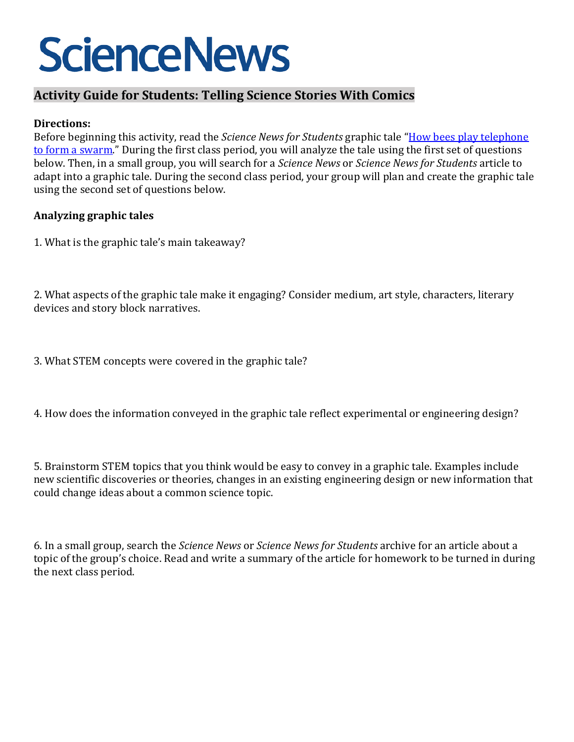# **ScienceNews**

## **Activity Guide for Students: Telling Science Stories With Comics**

### **Directions:**

Before beginning this activity, read the *Science News for Students* graphic tale ["How bees play telephone](https://www.sciencenewsforstudents.org/article/bees-play-telephone-swarm-pheromones-comic)  [to form a swarm."](https://www.sciencenewsforstudents.org/article/bees-play-telephone-swarm-pheromones-comic) During the first class period, you will analyze the tale using the first set of questions below. Then, in a small group, you will search for a *Science News* or *Science News for Students* article to adapt into a graphic tale. During the second class period, your group will plan and create the graphic tale using the second set of questions below.

### **Analyzing graphic tales**

1. What is the graphic tale's main takeaway?

2. What aspects of the graphic tale make it engaging? Consider medium, art style, characters, literary devices and story block narratives.

- 3. What STEM concepts were covered in the graphic tale?
- 4. How does the information conveyed in the graphic tale reflect experimental or engineering design?

5. Brainstorm STEM topics that you think would be easy to convey in a graphic tale. Examples include new scientific discoveries or theories, changes in an existing engineering design or new information that could change ideas about a common science topic.

6. In a small group, search the *Science News* or *Science News for Students* archive for an article about a topic of the group's choice. Read and write a summary of the article for homework to be turned in during the next class period.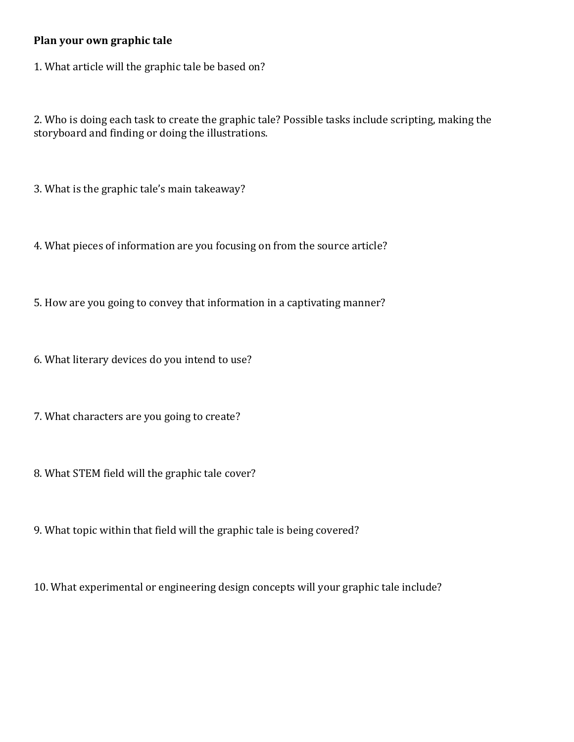#### **Plan your own graphic tale**

1. What article will the graphic tale be based on?

2. Who is doing each task to create the graphic tale? Possible tasks include scripting, making the storyboard and finding or doing the illustrations.

3. What is the graphic tale's main takeaway?

4. What pieces of information are you focusing on from the source article?

5. How are you going to convey that information in a captivating manner?

6. What literary devices do you intend to use?

7. What characters are you going to create?

8. What STEM field will the graphic tale cover?

9. What topic within that field will the graphic tale is being covered?

10. What experimental or engineering design concepts will your graphic tale include?